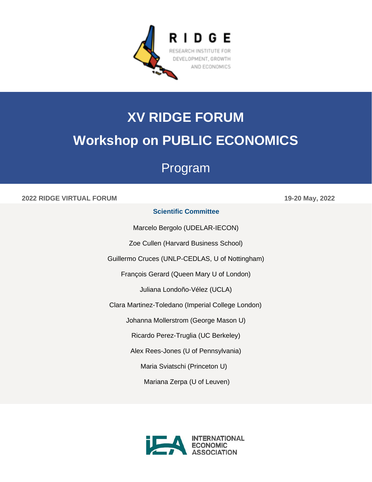

# **XV RIDGE FORUM Workshop on PUBLIC ECONOMICS**

## Program

## **2022 RIDGE VIRTUAL FORUM 19-20 May, 2022**

## **Scientific Committee**

Marcelo Bergolo (UDELAR-IECON)

Zoe Cullen (Harvard Business School)

Guillermo Cruces (UNLP-CEDLAS, U of Nottingham)

François Gerard (Queen Mary U of London)

Juliana Londoño-Vélez (UCLA)

Clara Martinez-Toledano (Imperial College London)

Johanna Mollerstrom (George Mason U)

Ricardo Perez-Truglia (UC Berkeley)

Alex Rees-Jones (U of Pennsylvania)

Maria Sviatschi (Princeton U)

Mariana Zerpa (U of Leuven)

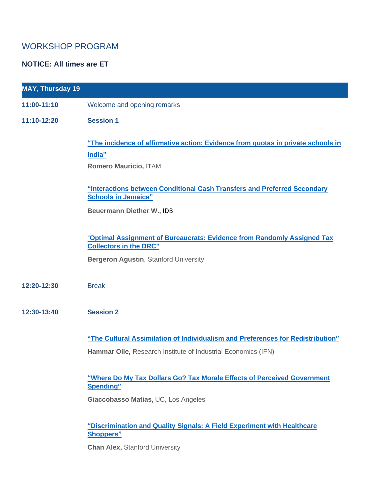## WORKSHOP PROGRAM

## **NOTICE: All times are ET**

| <b>MAY, Thursday 19</b> |                                                                                                                                                          |
|-------------------------|----------------------------------------------------------------------------------------------------------------------------------------------------------|
| 11:00-11:10             | Welcome and opening remarks                                                                                                                              |
| 11:10-12:20             | <b>Session 1</b>                                                                                                                                         |
|                         | "The incidence of affirmative action: Evidence from quotas in private schools in<br>India"<br>Romero Mauricio, ITAM                                      |
|                         | <b>"Interactions between Conditional Cash Transfers and Preferred Secondary</b><br><b>Schools in Jamaica"</b>                                            |
|                         | <b>Beuermann Diether W., IDB</b>                                                                                                                         |
|                         | "Optimal Assignment of Bureaucrats: Evidence from Randomly Assigned Tax<br><b>Collectors in the DRC"</b><br><b>Bergeron Agustin, Stanford University</b> |
| 12:20-12:30             | <b>Break</b>                                                                                                                                             |
| 12:30-13:40             | <b>Session 2</b>                                                                                                                                         |
|                         | "The Cultural Assimilation of Individualism and Preferences for Redistribution"                                                                          |
|                         | Hammar Olle, Research Institute of Industrial Economics (IFN)                                                                                            |
|                         | "Where Do My Tax Dollars Go? Tax Morale Effects of Perceived Government<br><b>Spending"</b>                                                              |
|                         | Giaccobasso Matias, UC, Los Angeles                                                                                                                      |
|                         | "Discrimination and Quality Signals: A Field Experiment with Healthcare<br><b>Shoppers"</b>                                                              |
|                         | <b>Chan Alex, Stanford University</b>                                                                                                                    |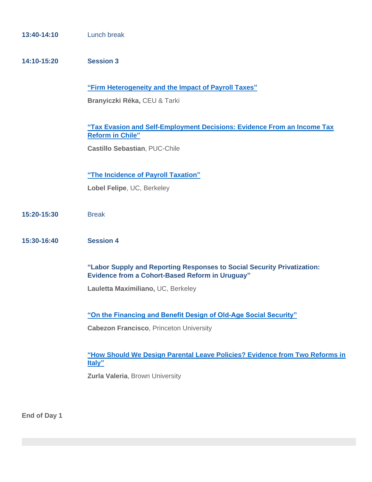| 13:40-14:10 | Lunch break                                                                                                                                |
|-------------|--------------------------------------------------------------------------------------------------------------------------------------------|
| 14:10-15:20 | <b>Session 3</b>                                                                                                                           |
|             | "Firm Heterogeneity and the Impact of Payroll Taxes"<br>Branyiczki Réka, CEU & Tarki                                                       |
|             | "Tax Evasion and Self-Employment Decisions: Evidence From an Income Tax<br><b>Reform in Chile"</b><br><b>Castillo Sebastian, PUC-Chile</b> |
|             | "The Incidence of Payroll Taxation"<br>Lobel Felipe, UC, Berkeley                                                                          |
| 15:20-15:30 | <b>Break</b>                                                                                                                               |
| 15:30-16:40 | <b>Session 4</b>                                                                                                                           |
|             | "Labor Supply and Reporting Responses to Social Security Privatization:<br><b>Evidence from a Cohort-Based Reform in Uruguay"</b>          |
|             | Lauletta Maximiliano, UC, Berkeley                                                                                                         |
|             | "On the Financing and Benefit Design of Old-Age Social Security"                                                                           |
|             | <b>Cabezon Francisco, Princeton University</b>                                                                                             |
|             | "How Should We Design Parental Leave Policies? Evidence from Two Reforms in<br>Italy"<br>Zurla Valeria, Brown University                   |
|             |                                                                                                                                            |

**End of Day 1**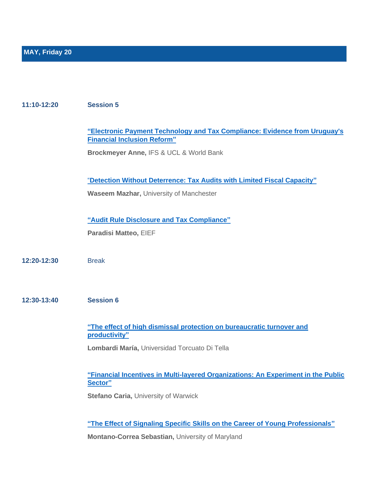#### **11:10-12:20 Session 5**

**["Electronic Payment Technology and Tax Compliance: Evidence from Uruguay's](http://www.ridge.uy/wp-content/uploads/2022/05/13.-Copia-de-Brockmeyer_Anne_and_Saenz_Somarriba___Electronic_payment_technology_and_tax_compliance__evidence_from_Uruguay.pdf)  [Financial Inclusion Reform"](http://www.ridge.uy/wp-content/uploads/2022/05/13.-Copia-de-Brockmeyer_Anne_and_Saenz_Somarriba___Electronic_payment_technology_and_tax_compliance__evidence_from_Uruguay.pdf)**

**Brockmeyer Anne,** IFS & UCL & World Bank

"**[Detection Without Deterrence: Tax Audits with Limited Fiscal Capacity"](http://www.ridge.uy/wp-content/uploads/2022/05/14.-bfcbbe8a3ad2-PakAudit_April2021.pdf)**

**Waseem Mazhar,** University of Manchester

**["Audit Rule Disclosure and Tax Compliance"](http://www.ridge.uy/wp-content/uploads/2022/05/15.-Copia-de-PARADISI_MATTEO_audit_rule_disclosure_and_tax_compliance.pdf)**

**Paradisi Matteo,** EIEF

**12:20-12:30** Break

**12:30-13:40 Session 6**

**["The effect of high dismissal protection on bureaucratic turnover and](http://www.ridge.uy/wp-content/uploads/2022/05/16.-Maria-Lombardi.pdf)  [productivity"](http://www.ridge.uy/wp-content/uploads/2022/05/16.-Maria-Lombardi.pdf)**

**Lombardi María,** Universidad Torcuato Di Tella

**["Financial Incentives in Multi-layered Organizations: An Experiment in the Public](http://www.ridge.uy/wp-content/uploads/2022/05/17.-P4P_Multilayer.pdf)  [Sector"](http://www.ridge.uy/wp-content/uploads/2022/05/17.-P4P_Multilayer.pdf)**

**Stefano Caria, University of Warwick** 

**["The Effect of Signaling Specific Skills on the Career of Young Professionals"](http://www.ridge.uy/wp-content/uploads/2022/05/18.-Montano_Sebastian_Signaling_Specific_Skills.pdf)**

**Montano-Correa Sebastian,** University of Maryland